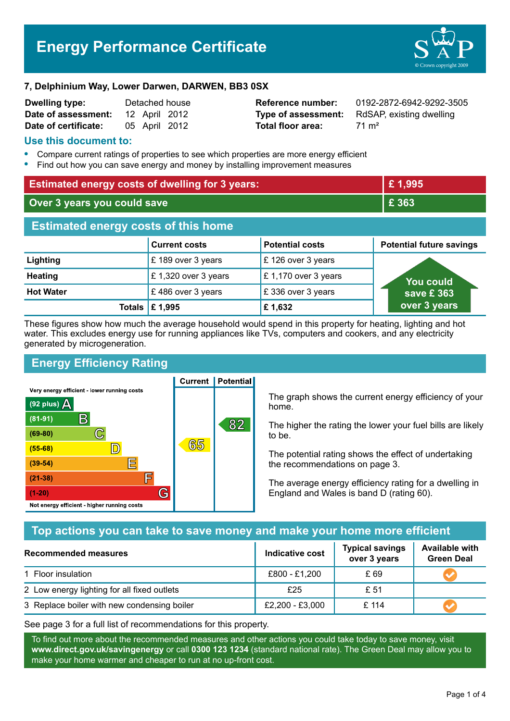# **Energy Performance Certificate**



#### **7, Delphinium Way, Lower Darwen, DARWEN, BB3 0SX**

| <b>Dwelling type:</b> |               | Detached house |
|-----------------------|---------------|----------------|
| Date of assessment:   | 12 April 2012 |                |
| Date of certificate:  | 05 April 2012 |                |

**Total floor area:** 71 m<sup>2</sup>

**Reference number:** 0192-2872-6942-9292-3505 **Type of assessment:** RdSAP, existing dwelling

#### **Use this document to:**

- **•** Compare current ratings of properties to see which properties are more energy efficient
- **•** Find out how you can save energy and money by installing improvement measures

| <b>Estimated energy costs of dwelling for 3 years:</b> |                      | £1,995                 |                                 |
|--------------------------------------------------------|----------------------|------------------------|---------------------------------|
| Over 3 years you could save                            |                      | £ 363                  |                                 |
| <b>Estimated energy costs of this home</b>             |                      |                        |                                 |
|                                                        | <b>Current costs</b> | <b>Potential costs</b> | <b>Potential future savings</b> |
| Lighting                                               | £189 over 3 years    | £126 over 3 years      |                                 |
| <b>Heating</b>                                         | £1,320 over 3 years  | £1,170 over 3 years    | <b>You could</b>                |
| <b>Hot Water</b>                                       | £486 over 3 years    | £336 over 3 years      | save £363                       |
| Totals                                                 | £ 1,995              | £1,632                 | over 3 years                    |

These figures show how much the average household would spend in this property for heating, lighting and hot water. This excludes energy use for running appliances like TVs, computers and cookers, and any electricity generated by microgeneration.

**Current | Potential** 

# **Energy Efficiency Rating**

Very energy efficient - lower running costs



The graph shows the current energy efficiency of your home.

The higher the rating the lower your fuel bills are likely to be.

The potential rating shows the effect of undertaking the recommendations on page 3.

The average energy efficiency rating for a dwelling in England and Wales is band D (rating 60).

## **Top actions you can take to save money and make your home more efficient**

| Recommended measures                        | Indicative cost | <b>Typical savings</b><br>over 3 years | <b>Available with</b><br><b>Green Deal</b> |  |
|---------------------------------------------|-----------------|----------------------------------------|--------------------------------------------|--|
| 1 Floor insulation                          | £800 - £1,200   | £ 69                                   |                                            |  |
| 2 Low energy lighting for all fixed outlets | £25             | £ 51                                   |                                            |  |
| 3 Replace boiler with new condensing boiler | £2,200 - £3,000 | £114                                   |                                            |  |

See page 3 for a full list of recommendations for this property.

To find out more about the recommended measures and other actions you could take today to save money, visit **www.direct.gov.uk/savingenergy** or call **0300 123 1234** (standard national rate). The Green Deal may allow you to make your home warmer and cheaper to run at no up-front cost.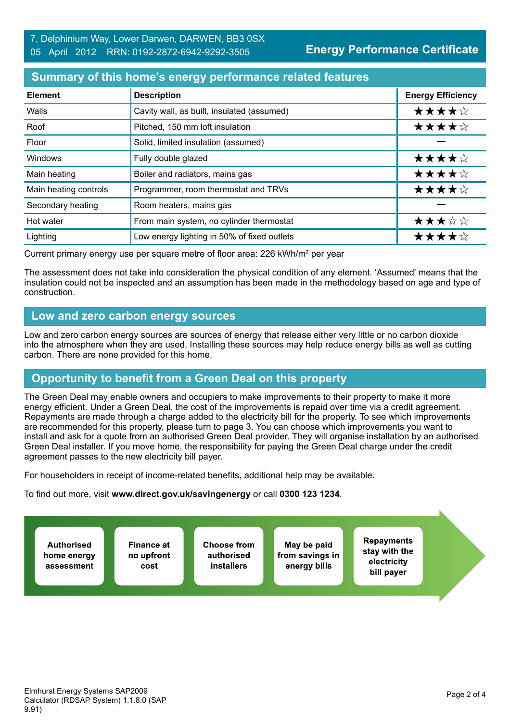### **Summary of this home's energy performance related features**

| <b>Element</b>        | <b>Description</b>                          | <b>Energy Efficiency</b> |
|-----------------------|---------------------------------------------|--------------------------|
| Walls                 | Cavity wall, as built, insulated (assumed)  | ★★★★☆                    |
| Roof                  | Pitched, 150 mm loft insulation             | ★★★★☆                    |
| Floor                 | Solid, limited insulation (assumed)         |                          |
| <b>Windows</b>        | Fully double glazed                         | ★★★★☆                    |
| Main heating          | Boiler and radiators, mains gas             | ★★★★☆                    |
| Main heating controls | Programmer, room thermostat and TRVs        | ★★★★☆                    |
| Secondary heating     | Room heaters, mains gas                     |                          |
| Hot water             | From main system, no cylinder thermostat    | ★★★☆☆                    |
| Lighting              | Low energy lighting in 50% of fixed outlets | ★★★★☆                    |

Current primary energy use per square metre of floor area: 226 kWh/m² per year

The assessment does not take into consideration the physical condition of any element. 'Assumed' means that the insulation could not be inspected and an assumption has been made in the methodology based on age and type of construction.

### **Low and zero carbon energy sources**

Low and zero carbon energy sources are sources of energy that release either very little or no carbon dioxide into the atmosphere when they are used. Installing these sources may help reduce energy bills as well as cutting carbon. There are none provided for this home.

## **Opportunity to benefit from a Green Deal on this property**

The Green Deal may enable owners and occupiers to make improvements to their property to make it more energy efficient. Under a Green Deal, the cost of the improvements is repaid over time via a credit agreement. Repayments are made through a charge added to the electricity bill for the property. To see which improvements are recommended for this property, please turn to page 3. You can choose which improvements you want to install and ask for a quote from an authorised Green Deal provider. They will organise installation by an authorised Green Deal installer. If you move home, the responsibility for paying the Green Deal charge under the credit agreement passes to the new electricity bill payer.

For householders in receipt of income-related benefits, additional help may be available.

To find out more, visit **www.direct.gov.uk/savingenergy** or call **0300 123 1234**.

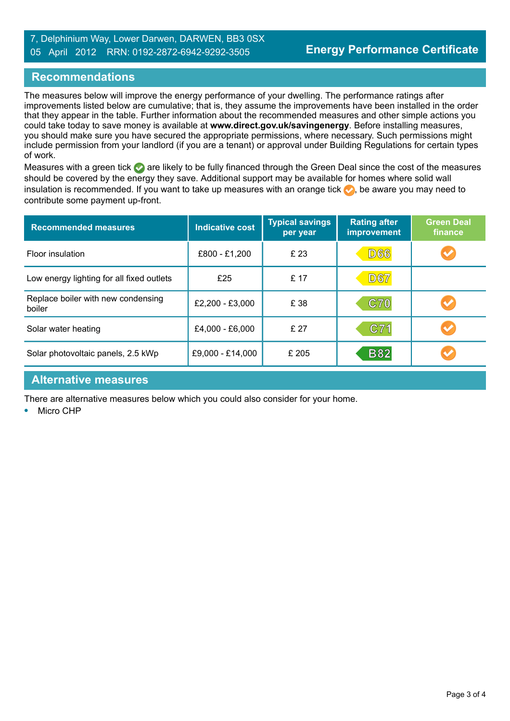#### 7, Delphinium Way, Lower Darwen, DARWEN, BB3 0SX 05 April 2012 RRN: 0192-2872-6942-9292-3505

## **Recommendations**

The measures below will improve the energy performance of your dwelling. The performance ratings after improvements listed below are cumulative; that is, they assume the improvements have been installed in the order that they appear in the table. Further information about the recommended measures and other simple actions you could take today to save money is available at **www.direct.gov.uk/savingenergy**. Before installing measures, you should make sure you have secured the appropriate permissions, where necessary. Such permissions might include permission from your landlord (if you are a tenant) or approval under Building Regulations for certain types of work.

Measures with a green tick are likely to be fully financed through the Green Deal since the cost of the measures should be covered by the energy they save. Additional support may be available for homes where solid wall insulation is recommended. If you want to take up measures with an orange tick  $\bullet$ , be aware you may need to contribute some payment up-front.

| <b>Recommended measures</b>                  | <b>Indicative cost</b> | <b>Typical savings</b><br>per year | <b>Rating after</b><br>improvement | <b>Green Deal</b><br>finance |
|----------------------------------------------|------------------------|------------------------------------|------------------------------------|------------------------------|
| Floor insulation                             | £800 - £1,200          | £ 23                               | <b>D66</b>                         |                              |
| Low energy lighting for all fixed outlets    | £25                    | £ 17                               | <b>D67</b>                         |                              |
| Replace boiler with new condensing<br>boiler | £2,200 - £3,000        | £ 38                               | C70                                |                              |
| Solar water heating                          | £4,000 - £6,000        | £27                                | C71                                |                              |
| Solar photovoltaic panels, 2.5 kWp           | £9,000 - £14,000       | £ 205                              | <b>B82</b>                         |                              |

#### **Alternative measures**

There are alternative measures below which you could also consider for your home.

**•** Micro CHP